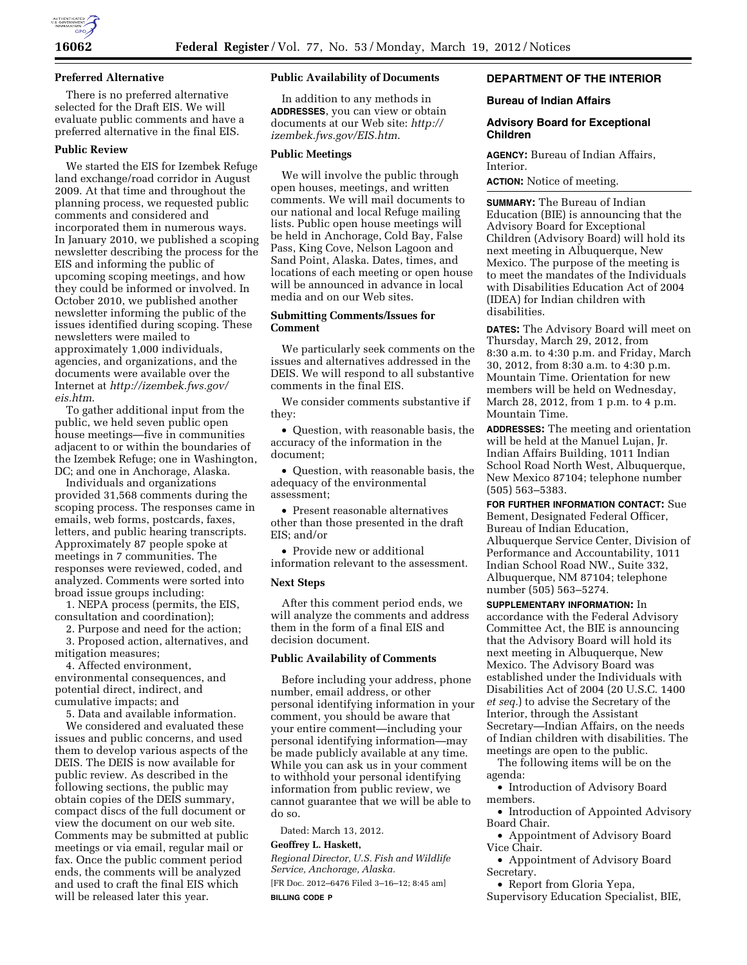

### **Preferred Alternative**

There is no preferred alternative selected for the Draft EIS. We will evaluate public comments and have a preferred alternative in the final EIS.

### **Public Review**

We started the EIS for Izembek Refuge land exchange/road corridor in August 2009. At that time and throughout the planning process, we requested public comments and considered and incorporated them in numerous ways. In January 2010, we published a scoping newsletter describing the process for the EIS and informing the public of upcoming scoping meetings, and how they could be informed or involved. In October 2010, we published another newsletter informing the public of the issues identified during scoping. These newsletters were mailed to approximately 1,000 individuals, agencies, and organizations, and the documents were available over the Internet at *[http://izembek.fws.gov/](http://izembek.fws.gov/eis.htm) [eis.htm](http://izembek.fws.gov/eis.htm)*.

To gather additional input from the public, we held seven public open house meetings—five in communities adjacent to or within the boundaries of the Izembek Refuge; one in Washington, DC; and one in Anchorage, Alaska.

Individuals and organizations provided 31,568 comments during the scoping process. The responses came in emails, web forms, postcards, faxes, letters, and public hearing transcripts. Approximately 87 people spoke at meetings in 7 communities. The responses were reviewed, coded, and analyzed. Comments were sorted into broad issue groups including:

1. NEPA process (permits, the EIS, consultation and coordination);

2. Purpose and need for the action; 3. Proposed action, alternatives, and

mitigation measures; 4. Affected environment, environmental consequences, and potential direct, indirect, and cumulative impacts; and

5. Data and available information.

We considered and evaluated these issues and public concerns, and used them to develop various aspects of the DEIS. The DEIS is now available for public review. As described in the following sections, the public may obtain copies of the DEIS summary, compact discs of the full document or view the document on our web site. Comments may be submitted at public meetings or via email, regular mail or fax. Once the public comment period ends, the comments will be analyzed and used to craft the final EIS which will be released later this year.

## **Public Availability of Documents**

In addition to any methods in **ADDRESSES**, you can view or obtain documents at our Web site: *[http://](http://izembek.fws.gov/EIS.htm) [izembek.fws.gov/EIS.htm](http://izembek.fws.gov/EIS.htm)*.

## **Public Meetings**

We will involve the public through open houses, meetings, and written comments. We will mail documents to our national and local Refuge mailing lists. Public open house meetings will be held in Anchorage, Cold Bay, False Pass, King Cove, Nelson Lagoon and Sand Point, Alaska. Dates, times, and locations of each meeting or open house will be announced in advance in local media and on our Web sites.

### **Submitting Comments/Issues for Comment**

We particularly seek comments on the issues and alternatives addressed in the DEIS. We will respond to all substantive comments in the final EIS.

We consider comments substantive if they:

• Question, with reasonable basis, the accuracy of the information in the document;

• Question, with reasonable basis, the adequacy of the environmental assessment;

• Present reasonable alternatives other than those presented in the draft EIS; and/or

• Provide new or additional information relevant to the assessment.

## **Next Steps**

After this comment period ends, we will analyze the comments and address them in the form of a final EIS and decision document.

#### **Public Availability of Comments**

Before including your address, phone number, email address, or other personal identifying information in your comment, you should be aware that your entire comment—including your personal identifying information—may be made publicly available at any time. While you can ask us in your comment to withhold your personal identifying information from public review, we cannot guarantee that we will be able to do so.

Dated: March 13, 2012.

## **Geoffrey L. Haskett,**

*Regional Director, U.S. Fish and Wildlife Service, Anchorage, Alaska.*  [FR Doc. 2012–6476 Filed 3–16–12; 8:45 am]

#### **BILLING CODE P**

## **DEPARTMENT OF THE INTERIOR**

### **Bureau of Indian Affairs**

### **Advisory Board for Exceptional Children**

**AGENCY:** Bureau of Indian Affairs, Interior.

**ACTION:** Notice of meeting.

**SUMMARY:** The Bureau of Indian Education (BIE) is announcing that the Advisory Board for Exceptional Children (Advisory Board) will hold its next meeting in Albuquerque, New Mexico. The purpose of the meeting is to meet the mandates of the Individuals with Disabilities Education Act of 2004 (IDEA) for Indian children with disabilities.

**DATES:** The Advisory Board will meet on Thursday, March 29, 2012, from 8:30 a.m. to 4:30 p.m. and Friday, March 30, 2012, from 8:30 a.m. to 4:30 p.m. Mountain Time. Orientation for new members will be held on Wednesday, March 28, 2012, from 1 p.m. to 4 p.m. Mountain Time.

**ADDRESSES:** The meeting and orientation will be held at the Manuel Lujan, Jr. Indian Affairs Building, 1011 Indian School Road North West, Albuquerque, New Mexico 87104; telephone number (505) 563–5383.

**FOR FURTHER INFORMATION CONTACT:** Sue Bement, Designated Federal Officer, Bureau of Indian Education, Albuquerque Service Center, Division of Performance and Accountability, 1011 Indian School Road NW., Suite 332, Albuquerque, NM 87104; telephone number (505) 563–5274.

**SUPPLEMENTARY INFORMATION:** In accordance with the Federal Advisory Committee Act, the BIE is announcing that the Advisory Board will hold its next meeting in Albuquerque, New Mexico. The Advisory Board was established under the Individuals with Disabilities Act of 2004 (20 U.S.C. 1400 *et seq.*) to advise the Secretary of the Interior, through the Assistant Secretary—Indian Affairs, on the needs of Indian children with disabilities. The meetings are open to the public.

The following items will be on the agenda:

• Introduction of Advisory Board members.

• Introduction of Appointed Advisory Board Chair.

• Appointment of Advisory Board Vice Chair.

• Appointment of Advisory Board Secretary.

• Report from Gloria Yepa,

Supervisory Education Specialist, BIE,